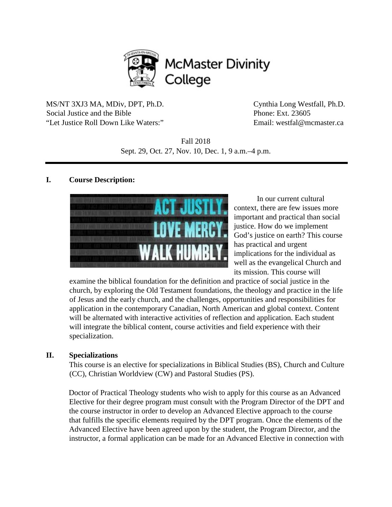

MS/NT 3XJ3 MA, MDiv, DPT, Ph.D. Cynthia Long Westfall, Ph.D. Social Justice and the Bible Phone: Ext. 23605 "Let Justice Roll Down Like Waters:" Email: westfal@mcmaster.ca

Fall 2018 Sept. 29, Oct. 27, Nov. 10, Dec. 1, 9 a.m.–4 p.m.

### **I. Course Description:**



In our current cultural context, there are few issues more important and practical than social justice. How do we implement God's justice on earth? This course has practical and urgent implications for the individual as well as the evangelical Church and its mission. This course will

examine the biblical foundation for the definition and practice of social justice in the church, by exploring the Old Testament foundations, the theology and practice in the life of Jesus and the early church, and the challenges, opportunities and responsibilities for application in the contemporary Canadian, North American and global context. Content will be alternated with interactive activities of reflection and application. Each student will integrate the biblical content, course activities and field experience with their specialization.

#### **II. Specializations**

This course is an elective for specializations in Biblical Studies (BS), Church and Culture (CC), Christian Worldview (CW) and Pastoral Studies (PS).

Doctor of Practical Theology students who wish to apply for this course as an Advanced Elective for their degree program must consult with the Program Director of the DPT and the course instructor in order to develop an Advanced Elective approach to the course that fulfills the specific elements required by the DPT program. Once the elements of the Advanced Elective have been agreed upon by the student, the Program Director, and the instructor, a formal application can be made for an Advanced Elective in connection with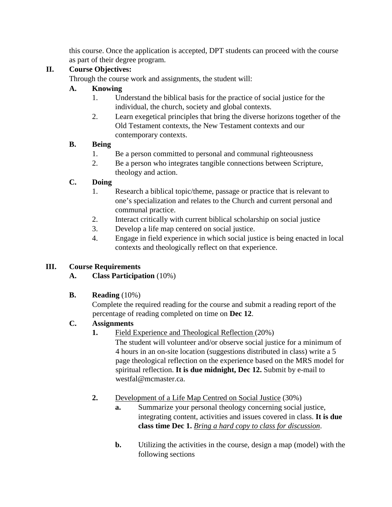this course. Once the application is accepted, DPT students can proceed with the course as part of their degree program.

# **II. Course Objectives:**

Through the course work and assignments, the student will:

# **A. Knowing**

- 1. Understand the biblical basis for the practice of social justice for the individual, the church, society and global contexts.
- 2. Learn exegetical principles that bring the diverse horizons together of the Old Testament contexts, the New Testament contexts and our contemporary contexts.

## **B. Being**

- 1. Be a person committed to personal and communal righteousness
- 2. Be a person who integrates tangible connections between Scripture, theology and action.

# **C. Doing**

- 1. Research a biblical topic/theme, passage or practice that is relevant to one's specialization and relates to the Church and current personal and communal practice.
- 2. Interact critically with current biblical scholarship on social justice
- 3. Develop a life map centered on social justice.
- 4. Engage in field experience in which social justice is being enacted in local contexts and theologically reflect on that experience.

## **III. Course Requirements**

# **A. Class Participation** (10%)

# **B. Reading** (10%)

Complete the required reading for the course and submit a reading report of the percentage of reading completed on time on **Dec 12**.

## **C. Assignments**

**1.** Field Experience and Theological Reflection (20%)

The student will volunteer and/or observe social justice for a minimum of 4 hours in an on-site location (suggestions distributed in class) write a 5 page theological reflection on the experience based on the MRS model for spiritual reflection. **It is due midnight, Dec 12.** Submit by e-mail to westfal@mcmaster.ca.

- **2.** Development of a Life Map Centred on Social Justice (30%)
	- **a.** Summarize your personal theology concerning social justice, integrating content, activities and issues covered in class. **It is due class time Dec 1.** *Bring a hard copy to class for discussion*.
	- **b.** Utilizing the activities in the course, design a map (model) with the following sections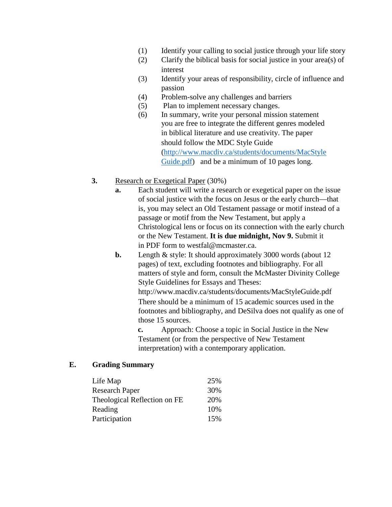- (1) Identify your calling to social justice through your life story
- (2) Clarify the biblical basis for social justice in your area(s) of interest
- (3) Identify your areas of responsibility, circle of influence and passion
- (4) Problem-solve any challenges and barriers
- (5) Plan to implement necessary changes.
- (6) In summary, write your personal mission statement you are free to integrate the different genres modeled in biblical literature and use creativity. The paper should follow the MDC Style Guide [\(http://www.macdiv.ca/students/documents/MacStyle](http://www.macdiv.ca/students/documents/MacStyleGuide.pdf) [Guide.pdf\)](http://www.macdiv.ca/students/documents/MacStyleGuide.pdf) and be a minimum of 10 pages long.
- **3.** Research or Exegetical Paper (30%)
	- **a.** Each student will write a research or exegetical paper on the issue of social justice with the focus on Jesus or the early church—that is, you may select an Old Testament passage or motif instead of a passage or motif from the New Testament, but apply a Christological lens or focus on its connection with the early church or the New Testament. **It is due midnight, Nov 9.** Submit it in PDF form to westfal@mcmaster.ca.
	- **b.** Length & style: It should approximately 3000 words (about 12) pages) of text, excluding footnotes and bibliography. For all matters of style and form, consult the McMaster Divinity College Style Guidelines for Essays and Theses:

http://www.macdiv.ca/students/documents/MacStyleGuide.pdf There should be a minimum of 15 academic sources used in the footnotes and bibliography, and DeSilva does not qualify as one of those 15 sources.

**c.** Approach: Choose a topic in Social Justice in the New Testament (or from the perspective of New Testament interpretation) with a contemporary application.

#### **E. Grading Summary**

| Life Map                     | 25% |
|------------------------------|-----|
| <b>Research Paper</b>        | 30% |
| Theological Reflection on FE | 20% |
| Reading                      | 10% |
| Participation                | 15% |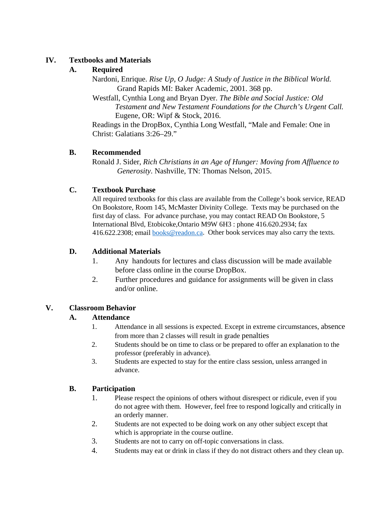### **IV. Textbooks and Materials**

## **A. Required**

Nardoni, Enrique. *Rise Up, O Judge: A Study of Justice in the Biblical World.* Grand Rapids MI: Baker Academic, 2001. 368 pp.

Westfall, Cynthia Long and Bryan Dyer. *The Bible and Social Justice: Old Testament and New Testament Foundations for the Church's Urgent Call.* Eugene, OR: Wipf & Stock, 2016.

Readings in the DropBox, Cynthia Long Westfall, "Male and Female: One in Christ: Galatians 3:26–29."

## **B. Recommended**

Ronald J. Sider, *Rich Christians in an Age of Hunger: Moving from Affluence to Generosity*. Nashville, TN: Thomas Nelson, 2015.

### **C. Textbook Purchase**

All required textbooks for this class are available from the College's book service, READ On Bookstore, Room 145, McMaster Divinity College. Texts may be purchased on the first day of class. For advance purchase, you may contact READ On Bookstore, 5 International Blvd, Etobicoke,Ontario M9W 6H3 : phone 416.620.2934; fax 416.622.2308; email **books@readon.ca.** Other book services may also carry the texts.

## **D. Additional Materials**

- 1. Any handouts for lectures and class discussion will be made available before class online in the course DropBox.
- 2. Further procedures and guidance for assignments will be given in class and/or online.

### **V. Classroom Behavior**

## **A. Attendance**

- 1. Attendance in all sessions is expected. Except in extreme circumstances, absence from more than 2 classes will result in grade penalties
- 2. Students should be on time to class or be prepared to offer an explanation to the professor (preferably in advance).
- 3. Students are expected to stay for the entire class session, unless arranged in advance.

### **B. Participation**

- 1. Please respect the opinions of others without disrespect or ridicule, even if you do not agree with them. However, feel free to respond logically and critically in an orderly manner.
- 2. Students are not expected to be doing work on any other subject except that which is appropriate in the course outline.
- 3. Students are not to carry on off-topic conversations in class.
- 4. Students may eat or drink in class if they do not distract others and they clean up.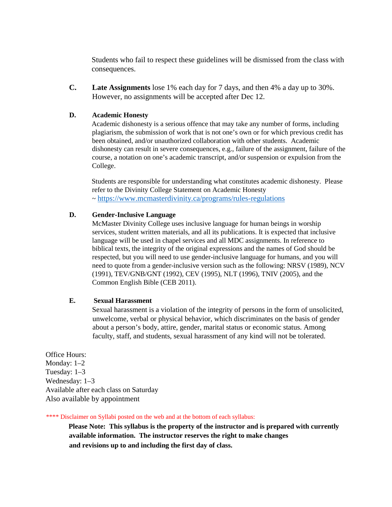Students who fail to respect these guidelines will be dismissed from the class with consequences.

**C. Late Assignments** lose 1% each day for 7 days, and then 4% a day up to 30%. However, no assignments will be accepted after Dec 12.

#### **D. Academic Honesty**

Academic dishonesty is a serious offence that may take any number of forms, including plagiarism, the submission of work that is not one's own or for which previous credit has been obtained, and/or unauthorized collaboration with other students. Academic dishonesty can result in severe consequences, e.g., failure of the assignment, failure of the course, a notation on one's academic transcript, and/or suspension or expulsion from the College.

Students are responsible for understanding what constitutes academic dishonesty. Please refer to the Divinity College Statement on Academic Honesty ~<https://www.mcmasterdivinity.ca/programs/rules-regulations>

#### **D. Gender-Inclusive Language**

McMaster Divinity College uses inclusive language for human beings in worship services, student written materials, and all its publications. It is expected that inclusive language will be used in chapel services and all MDC assignments. In reference to biblical texts, the integrity of the original expressions and the names of God should be respected, but you will need to use gender-inclusive language for humans, and you will need to quote from a gender-inclusive version such as the following: NRSV (1989), NCV (1991), TEV/GNB/GNT (1992), CEV (1995), NLT (1996), TNIV (2005), and the Common English Bible (CEB 2011).

#### **E. Sexual Harassment**

Sexual harassment is a violation of the integrity of persons in the form of unsolicited, unwelcome, verbal or physical behavior, which discriminates on the basis of gender about a person's body, attire, gender, marital status or economic status. Among faculty, staff, and students, sexual harassment of any kind will not be tolerated.

Office Hours: Monday: 1–2 Tuesday: 1–3 Wednesday: 1–3 Available after each class on Saturday Also available by appointment

\*\*\*\* Disclaimer on Syllabi posted on the web and at the bottom of each syllabus:

**Please Note: This syllabus is the property of the instructor and is prepared with currently available information. The instructor reserves the right to make changes and revisions up to and including the first day of class.**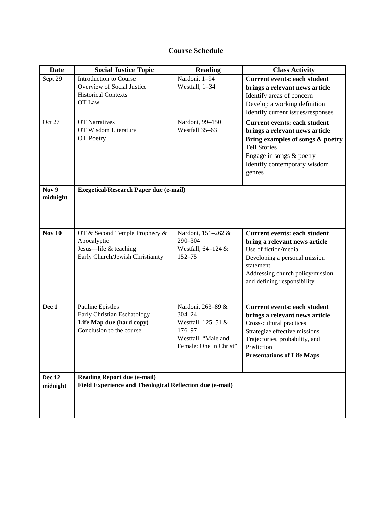# **Course Schedule**

| <b>Date</b>               | <b>Social Justice Topic</b>                                                                                    | <b>Reading</b>                                                                                                   | <b>Class Activity</b>                                                                                                                                                                                                   |
|---------------------------|----------------------------------------------------------------------------------------------------------------|------------------------------------------------------------------------------------------------------------------|-------------------------------------------------------------------------------------------------------------------------------------------------------------------------------------------------------------------------|
| Sept 29                   | Introduction to Course<br>Overview of Social Justice<br><b>Historical Contexts</b><br>OT Law                   | Nardoni, 1-94<br>Westfall, 1-34                                                                                  | <b>Current events: each student</b><br>brings a relevant news article<br>Identify areas of concern<br>Develop a working definition<br>Identify current issues/responses                                                 |
| Oct 27                    | <b>OT Narratives</b><br>OT Wisdom Literature<br>OT Poetry                                                      | Nardoni, 99-150<br>Westfall 35-63                                                                                | <b>Current events: each student</b><br>brings a relevant news article<br>Bring examples of songs & poetry<br><b>Tell Stories</b><br>Engage in songs & poetry<br>Identify contemporary wisdom<br>genres                  |
| Nov 9<br>midnight         | <b>Exegetical/Research Paper due (e-mail)</b>                                                                  |                                                                                                                  |                                                                                                                                                                                                                         |
| <b>Nov 10</b>             | OT & Second Temple Prophecy &<br>Apocalyptic<br>Jesus-life & teaching<br>Early Church/Jewish Christianity      | Nardoni, 151-262 &<br>290-304<br>Westfall, $64-124$ &<br>$152 - 75$                                              | <b>Current events: each student</b><br>bring a relevant news article<br>Use of fiction/media<br>Developing a personal mission<br>statement<br>Addressing church policy/mission<br>and defining responsibility           |
| Dec 1                     | <b>Pauline Epistles</b><br>Early Christian Eschatology<br>Life Map due (hard copy)<br>Conclusion to the course | Nardoni, 263-89 &<br>$304 - 24$<br>Westfall, 125-51 &<br>176-97<br>Westfall, "Male and<br>Female: One in Christ" | <b>Current events: each student</b><br>brings a relevant news article<br>Cross-cultural practices<br>Strategize effective missions<br>Trajectories, probability, and<br>Prediction<br><b>Presentations of Life Maps</b> |
| <b>Dec 12</b><br>midnight | <b>Reading Report due (e-mail)</b><br>Field Experience and Theological Reflection due (e-mail)                 |                                                                                                                  |                                                                                                                                                                                                                         |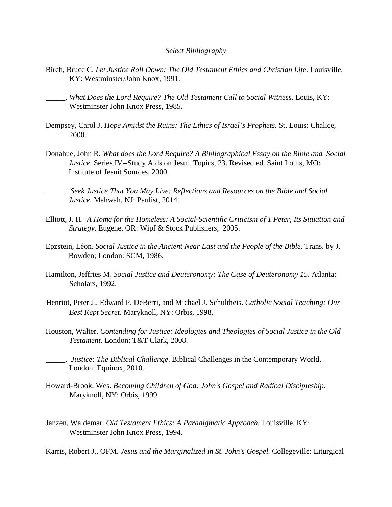#### *Select Bibliography*

- Birch, Bruce C. *Let Justice Roll Down: The Old Testament Ethics and Christian Life*. Louisville, KY: Westminster/John Knox, 1991.
- \_\_\_\_\_. *What Does the Lord Require? The Old Testament Call to Social Witness*. Louis, KY: Westminster John Knox Press, 1985.
- Dempsey, Carol J. *Hope Amidst the Ruins: The Ethics of Israel's Prophets*. St. Louis: Chalice, 2000.
- Donahue, John R. *What does the Lord Require? A Bibliographical Essay on the Bible and Social Justice.* Series IV--Study Aids on Jesuit Topics, 23. Revised ed. Saint Louis, MO: Institute of Jesuit Sources, 2000.
- \_\_\_\_\_. *Seek Justice That You May Live: Reflections and Resources on the Bible and Social Justice.* Mahwah, NJ: Paulist, 2014.
- Elliott, J. H. *A Home for the Homeless: A Social-Scientific Criticism of 1 Peter, Its Situation and Strategy*. Eugene, OR: Wipf & Stock Publishers, 2005.
- Epzstein, Léon. *Social Justice in the Ancient Near East and the People of the Bible*. Trans. by J. Bowden; London: SCM, 1986.
- Hamilton, Jeffries M. *Social Justice and Deuteronomy: The Case of Deuteronomy 15*. Atlanta: Scholars, 1992.
- Henriot, Peter J., Edward P. DeBerri, and Michael J. Schultheis. *Catholic Social Teaching: Our Best Kept Secret*. Maryknoll, NY: Orbis, 1998.
- Houston, Walter. *Contending for Justice: Ideologies and Theologies of Social Justice in the Old Testament*. London: T&T Clark, 2008.
- \_\_\_\_\_. *Justice: The Biblical Challenge*. Biblical Challenges in the Contemporary World. London: Equinox, 2010.
- Howard-Brook, Wes. *Becoming Children of God: John's Gospel and Radical Discipleship*. Maryknoll, NY: Orbis, 1999.
- Janzen, Waldemar. *Old Testament Ethics: A Paradigmatic Approach.* Louisville, KY: Westminster John Knox Press, 1994.

Karris, Robert J., OFM. *Jesus and the Marginalized in St. John's Gospel.* Collegeville: Liturgical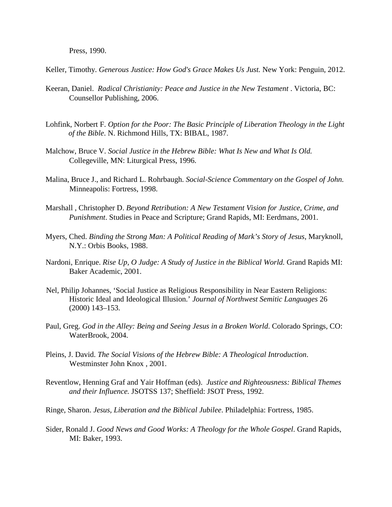Press, 1990.

Keller, Timothy. *Generous Justice: How God's Grace Makes Us Just.* New York: Penguin, 2012.

- Keeran, Daniel. *Radical Christianity: Peace and Justice in the New Testament* . Victoria, BC: Counsellor Publishing, 2006.
- Lohfink, Norbert F. *Option for the Poor: The Basic Principle of Liberation Theology in the Light of the Bible*. N. Richmond Hills, TX: BIBAL, 1987.
- Malchow, Bruce V. *Social Justice in the Hebrew Bible: What Is New and What Is Old.* Collegeville, MN: Liturgical Press, 1996.
- Malina, Bruce J., and Richard L. Rohrbaugh. *Social-Science Commentary on the Gospel of John.* Minneapolis: Fortress, 1998.
- Marshall , Christopher D. *Beyond Retribution: A New Testament Vision for Justice, Crime, and Punishment*. Studies in Peace and Scripture; Grand Rapids, MI: Eerdmans, 2001.
- Myers, Ched. *Binding the Strong Man: A Political Reading of Mark's Story of Jesus*, Maryknoll, N.Y.: Orbis Books, 1988.
- Nardoni, Enrique. *Rise Up, O Judge: A Study of Justice in the Biblical World.* Grand Rapids MI: Baker Academic, 2001.
- Nel, Philip Johannes, 'Social Justice as Religious Responsibility in Near Eastern Religions: Historic Ideal and Ideological Illusion.' *Journal of Northwest Semitic Languages* 26 (2000) 143–153.
- Paul, Greg. *God in the Alley: Being and Seeing Jesus in a Broken World*. Colorado Springs, CO: WaterBrook, 2004.
- Pleins, J. David. *The Social Visions of the Hebrew Bible: A Theological Introduction*. Westminster John Knox , 2001.
- Reventlow, Henning Graf and Yair Hoffman (eds). *Justice and Righteousness: Biblical Themes and their Influence.* JSOTSS 137; Sheffield: JSOT Press, 1992.
- Ringe, Sharon. *Jesus, Liberation and the Biblical Jubilee*. Philadelphia: Fortress, 1985.
- Sider, Ronald J. *Good News and Good Works: A Theology for the Whole Gospel*. Grand Rapids, MI: Baker, 1993.